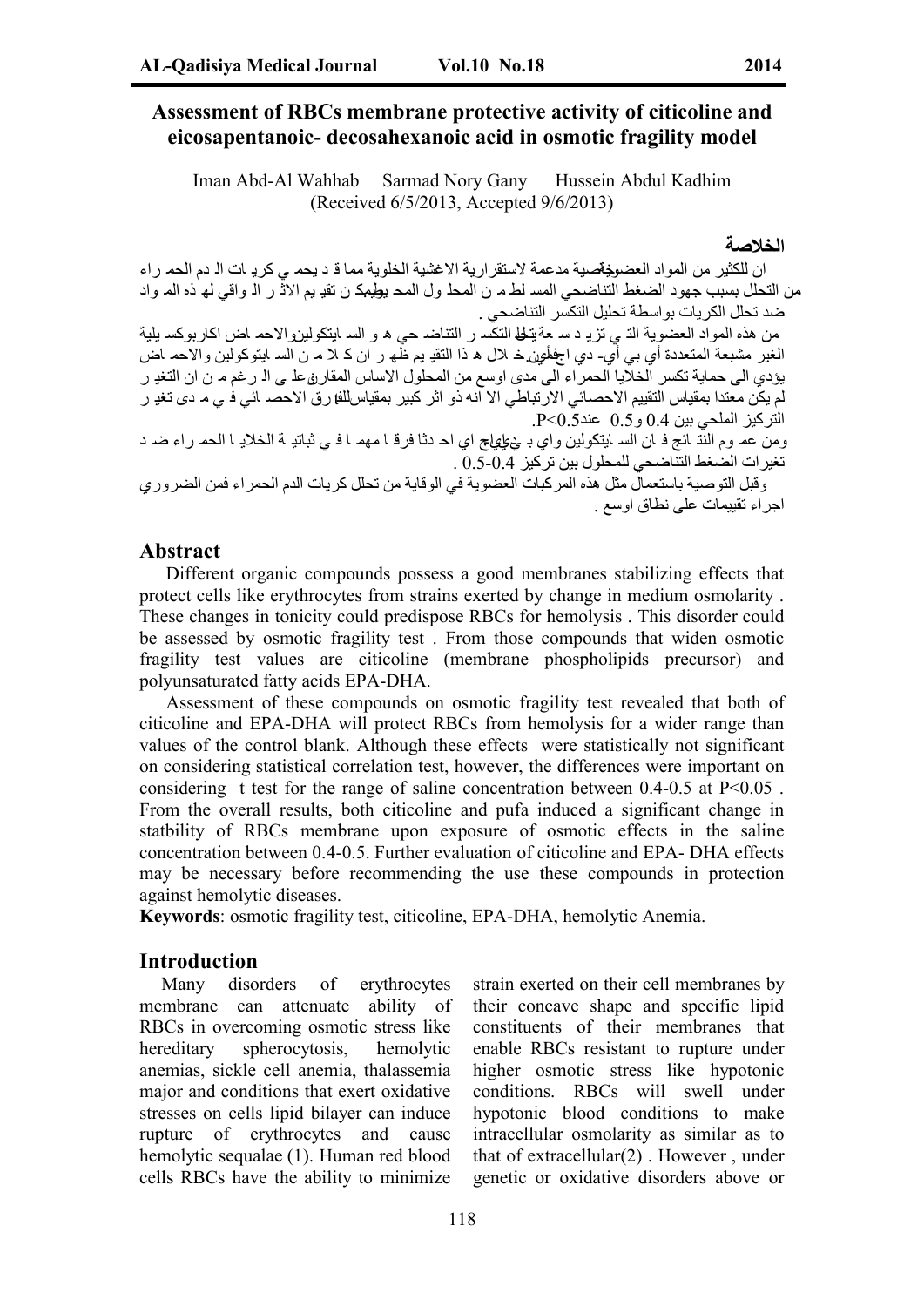# **Assessment of RBCs membrane protective activity of citicoline and eicosapentanoic- decosahexanoic acid in osmotic fragility model**

Iman Abd-Al Wahhab Sarmad Nory Gany Hussein Abdul Kadhim (Received 6/5/2013, Accepted 9/6/2013)

**الخلاصة**

ان للكثیر من المواد العضو<del>ی</del>ةحدیة مدعمة لاستقراریة الاغشیة الخلویة مما ق د یحم <sub>می</sub> كریـ ات الـ دم الحم راء من التحلل بسبب جهود الضغط التناضحي المسـ لطـم ن المحلـ ول المحـ یطِیمِک ن تقیـ یم الاثّـ ر الـ واقي لـه ٰذه المـ واد ضد تحلل الكریات بواسطة تحلیل التكسر التناضحي .

من هذه المواد العضویة الذی تزیو د سـ عة تحلی التكس ر التناضـ حی ه و السـ ایتكولیزوالاحم اض اكاربوكسـ یلیة الغیر مشبعة المتعددة أي بي أيّ ـ دي اجهمئين خـ لال ه ذا التقیـ بم ظه ر ان كـ لا مـ ن السـ ایتوكولین والاحم اض یؤدي الى حمایة تكسر الخلایا الحمراء الى مدى اوسع من المحلول الاساس المقارروعلمى الـ رغم مـ ن ان التغیـ ر لم یكن معتدا بمقیاس التقییم الاحصائي الارتباطي الا انه ذو اثر كبیر بمقیاسللفارق الاحصد ائي فـي مـ دى تغیـ ر التركیز الملحي بین 0.4 و 0.5 عند0.5>P .

ومن عم وم النّت ائج فہ ان السہ ایتكولین واي بہ پي علي اچ اي احہ دثا فرقہ ا مھم ا فسي ثباتیہ بة الخلایہ ا الحم راء ضہ د تغیرات الضغط التناضحي للمحلول بین تركیز 0.5-0.4 .

وقبل التوصیة باستعمال مثل ھذه المركبات العضویة في الوقایة من تحلل كریات الدم الحمراء فمن الضروري اجراء تقییمات على نطاق اوسع .

### **Abstract**

Different organic compounds possess a good membranes stabilizing effects that protect cells like erythrocytes from strains exerted by change in medium osmolarity . These changes in tonicity could predispose RBCs for hemolysis . This disorder could be assessed by osmotic fragility test . From those compounds that widen osmotic fragility test values are citicoline (membrane phospholipids precursor) and polyunsaturated fatty acids EPA-DHA.

Assessment of these compounds on osmotic fragility test revealed that both of citicoline and EPA-DHA will protect RBCs from hemolysis for a wider range than values of the control blank. Although these effects were statistically not significant on considering statistical correlation test, however, the differences were important on considering t test for the range of saline concentration between  $0.4$ - $0.5$  at P<0.05. From the overall results, both citicoline and pufa induced a significant change in statbility of RBCs membrane upon exposure of osmotic effects in the saline concentration between 0.4-0.5. Further evaluation of citicoline and EPA- DHA effects may be necessary before recommending the use these compounds in protection against hemolytic diseases.

**Keywords**: osmotic fragility test, citicoline, EPA-DHA, hemolytic Anemia.

#### **Introduction**

Many disorders of erythrocytes membrane can attenuate ability of RBCs in overcoming osmotic stress like hereditary spherocytosis, hemolytic anemias, sickle cell anemia, thalassemia major and conditions that exert oxidative stresses on cells lipid bilayer can induce rupture of erythrocytes and cause hemolytic sequalae (1). Human red blood cells RBCs have the ability to minimize

strain exerted on their cell membranes by their concave shape and specific lipid constituents of their membranes that enable RBCs resistant to rupture under higher osmotic stress like hypotonic conditions. RBCs will swell under hypotonic blood conditions to make intracellular osmolarity as similar as to that of extracellular(2) . However , under genetic or oxidative disorders above or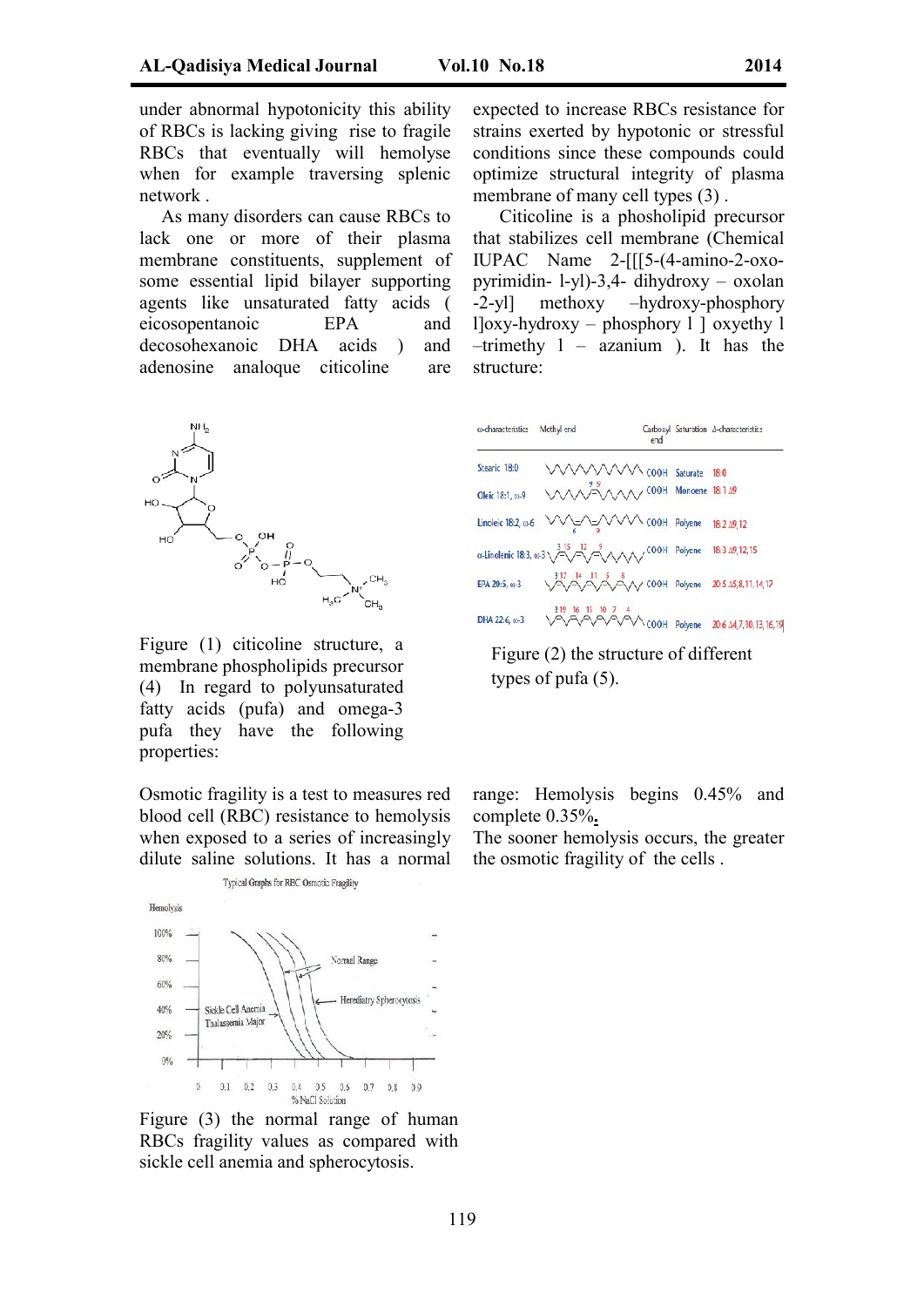under abnormal hypotonicity this ability of RBCs is lacking giving rise to fragile RBCs that eventually will hemolyse when for example traversing splenic network .

As many disorders can cause RBCs to lack one or more of their plasma membrane constituents, supplement of some essential lipid bilayer supporting agents like unsaturated fatty acids ( eicosopentanoic EPA and decosohexanoic DHA acids ) and adenosine analoque citicoline are



Figure (1) citicoline structure, a membrane phospholipids precursor (4) In regard to polyunsaturated fatty acids (pufa) and omega-3 pufa they have the following properties:

Osmotic fragility is a test to measures red blood cell (RBC) resistance to hemolysis when exposed to a series of increasingly dilute saline solutions. It has a normal



Figure (3) the normal range of human RBCs fragility values as compared with sickle cell anemia and spherocytosis.

expected to increase RBCs resistance for strains exerted by hypotonic or stressful conditions since these compounds could optimize structural integrity of plasma membrane of many cell types  $(3)$ .

Citicoline is a phosholipid precursor that stabilizes cell membrane (Chemical IUPAC Name 2-[[[5-(4-amino-2-oxopyrimidin- l-yl)-3,4- dihydroxy – oxolan -2-yl] methoxy –hydroxy-phosphory l]oxy-hydroxy – phosphory l ] oxyethy l –trimethy l – azanium ). It has the structure:

| @-characteristics  | Methyl end                                                           | end | Carboxyl Saturation A-characteristics  |
|--------------------|----------------------------------------------------------------------|-----|----------------------------------------|
| Stearic 18:0       | VVVVVV COOH Saturate 18:0                                            |     |                                        |
| Oleic 18:1, p.9    | VANVIV COOH Monoene 18:1 19                                          |     |                                        |
| Linoleic 18:2, a-6 | WEARAND COOH Polyene 18:2 19,12                                      |     |                                        |
|                    | α-Linolenic 18:3, ω-3 > 3 15 12<br>- ΛΛΛ/ COOH Polyene 18:3 Δ9,12,15 |     |                                        |
| EPA 20:5, 01-3     | 17 14 11 5 8<br>AAAA COOH Polyene 20:5 15,8,11,14,17                 |     |                                        |
| DHA 22:6, @-3      |                                                                      |     | VVVVCOOH Polyene 20:6 14,7,10,13,16,19 |

Figure (2) the structure of different types of pufa (5).

range: Hemolysis begins 0.45% and complete 0.35%**.**

The sooner hemolysis occurs, the greater the osmotic fragility of the cells .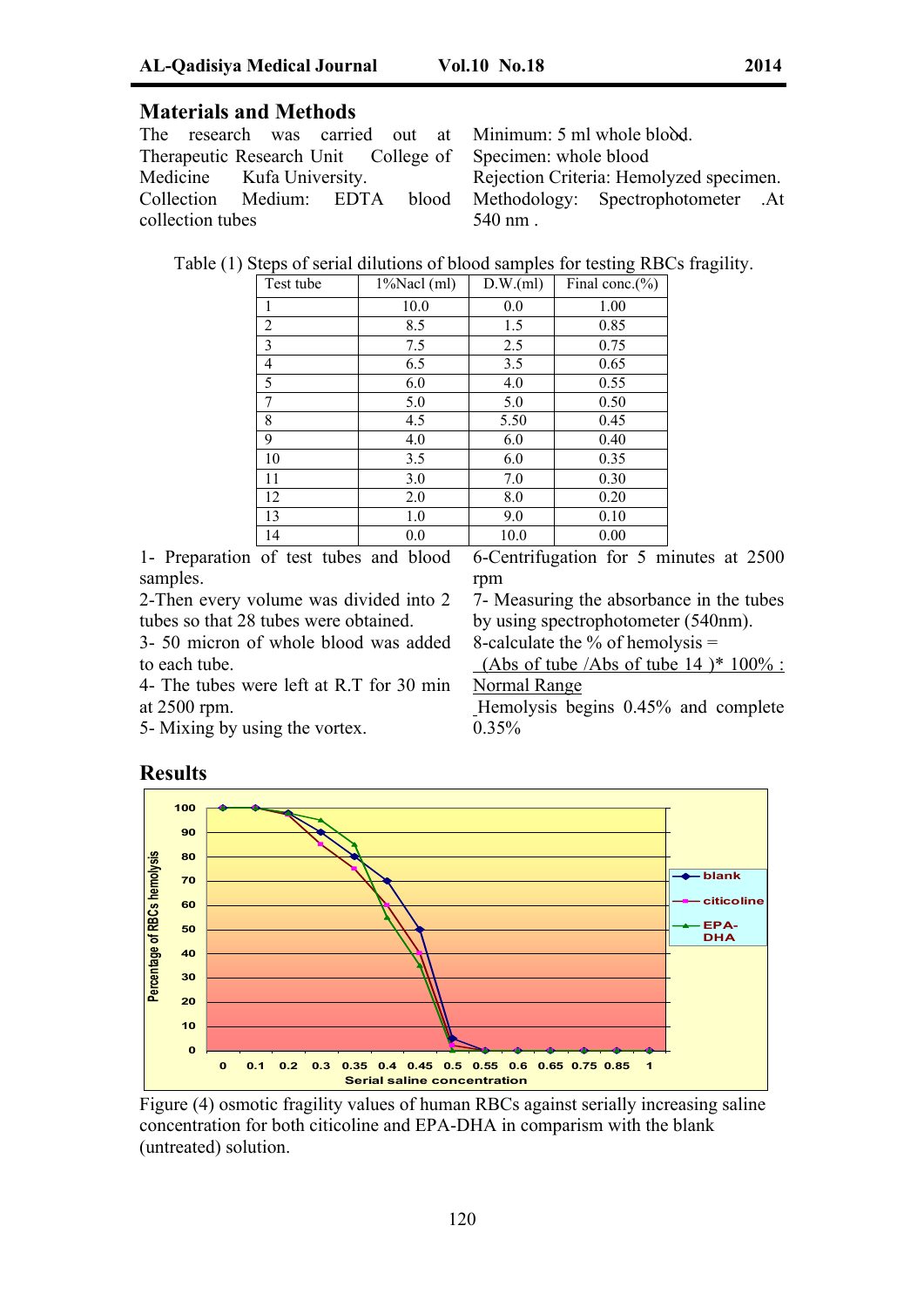# **Materials and Methods**

The research was carried out at Therapeutic Research Unit College of Medicine Kufa University. Collection Medium: EDTA blood collection tubes

Minimum: 5 ml whole blood. Specimen: whole blood Rejection Criteria: Hemolyzed specimen. Methodology: Spectrophotometer .At 540 nm .

Table (1) Steps of serial dilutions of blood samples for testing RBCs fragility.

| Test tube | $1\%$ Nacl (ml) | D.W.(ml) | Final conc. $(\% )$ |
|-----------|-----------------|----------|---------------------|
| 1         | 10.0            | 0.0      | 1.00                |
| 2         | 8.5             | 1.5      | 0.85                |
| 3         | 7.5             | 2.5      | 0.75                |
| 4         | 6.5             | 3.5      | 0.65                |
| 5         | 6.0             | 4.0      | 0.55                |
| 7         | 5.0             | 5.0      | 0.50                |
| 8         | 4.5             | 5.50     | 0.45                |
| 9         | 4.0             | 6.0      | 0.40                |
| 10        | 3.5             | 6.0      | 0.35                |
| 11        | 3.0             | 7.0      | 0.30                |
| 12        | 2.0             | 8.0      | 0.20                |
| 13        | 1.0             | 9.0      | 0.10                |
| 14        | 0.0             | 10.0     | 0.00                |

1- Preparation of test tubes and blood samples.

2-Then every volume was divided into 2 tubes so that 28 tubes were obtained.

3- 50 micron of whole blood was added to each tube.

4- The tubes were left at R.T for 30 min at 2500 rpm.

5- Mixing by using the vortex.

6-Centrifugation for 5 minutes at 2500 rpm

7- Measuring the absorbance in the tubes by using spectrophotometer (540nm).

8-calculate the  $%$  of hemolysis =

(Abs of tube /Abs of tube 14 )\*  $100\%$ : Normal Range

Hemolysis begins 0.45% and complete 0.35%



Figure (4) osmotic fragility values of human RBCs against serially increasing saline concentration for both citicoline and EPA-DHA in comparism with the blank (untreated) solution.

# **Results**